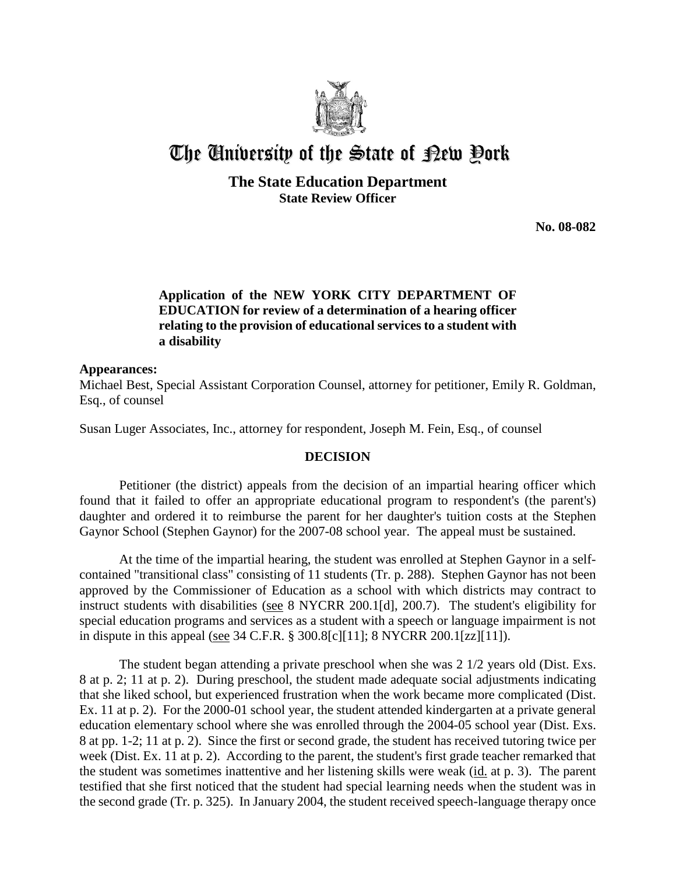

# The University of the State of Pew Pork

**The State Education Department State Review Officer**

**No. 08-082**

## **Application of the NEW YORK CITY DEPARTMENT OF EDUCATION for review of a determination of a hearing officer relating to the provision of educational services to a student with a disability**

### **Appearances:**

Michael Best, Special Assistant Corporation Counsel, attorney for petitioner, Emily R. Goldman, Esq., of counsel

Susan Luger Associates, Inc., attorney for respondent, Joseph M. Fein, Esq., of counsel

#### **DECISION**

Petitioner (the district) appeals from the decision of an impartial hearing officer which found that it failed to offer an appropriate educational program to respondent's (the parent's) daughter and ordered it to reimburse the parent for her daughter's tuition costs at the Stephen Gaynor School (Stephen Gaynor) for the 2007-08 school year. The appeal must be sustained.

At the time of the impartial hearing, the student was enrolled at Stephen Gaynor in a selfcontained "transitional class" consisting of 11 students (Tr. p. 288). Stephen Gaynor has not been approved by the Commissioner of Education as a school with which districts may contract to instruct students with disabilities (see 8 NYCRR 200.1[d], 200.7). The student's eligibility for special education programs and services as a student with a speech or language impairment is not in dispute in this appeal (see 34 C.F.R. § 300.8[c][11]; 8 NYCRR 200.1[zz][11]).

 The student began attending a private preschool when she was 2 1/2 years old (Dist. Exs. 8 at p. 2; 11 at p. 2). During preschool, the student made adequate social adjustments indicating that she liked school, but experienced frustration when the work became more complicated (Dist. Ex. 11 at p. 2). For the 2000-01 school year, the student attended kindergarten at a private general education elementary school where she was enrolled through the 2004-05 school year (Dist. Exs. 8 at pp. 1-2; 11 at p. 2). Since the first or second grade, the student has received tutoring twice per week (Dist. Ex. 11 at p. 2). According to the parent, the student's first grade teacher remarked that the student was sometimes inattentive and her listening skills were weak (id. at p. 3). The parent testified that she first noticed that the student had special learning needs when the student was in the second grade (Tr. p. 325). In January 2004, the student received speech-language therapy once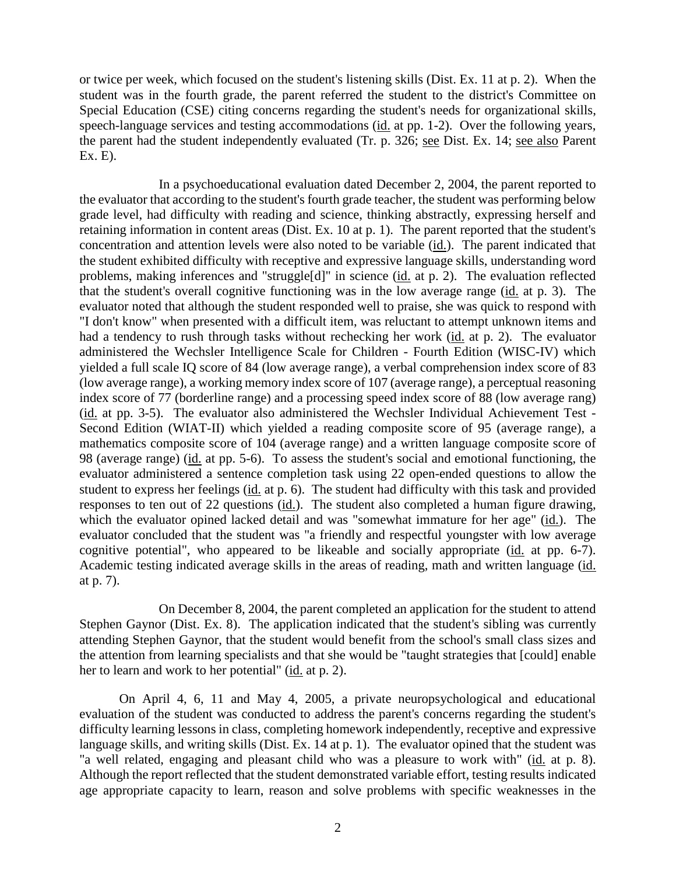or twice per week, which focused on the student's listening skills (Dist. Ex. 11 at p. 2). When the student was in the fourth grade, the parent referred the student to the district's Committee on Special Education (CSE) citing concerns regarding the student's needs for organizational skills, speech-language services and testing accommodations (id. at pp. 1-2). Over the following years, the parent had the student independently evaluated (Tr. p. 326; see Dist. Ex. 14; see also Parent Ex. E).

In a psychoeducational evaluation dated December 2, 2004, the parent reported to the evaluator that according to the student's fourth grade teacher, the student was performing below grade level, had difficulty with reading and science, thinking abstractly, expressing herself and retaining information in content areas (Dist. Ex. 10 at p. 1). The parent reported that the student's concentration and attention levels were also noted to be variable (id.). The parent indicated that the student exhibited difficulty with receptive and expressive language skills, understanding word problems, making inferences and "struggle[d]" in science (id. at p. 2). The evaluation reflected that the student's overall cognitive functioning was in the low average range (id. at p. 3). The evaluator noted that although the student responded well to praise, she was quick to respond with "I don't know" when presented with a difficult item, was reluctant to attempt unknown items and had a tendency to rush through tasks without rechecking her work (id. at p. 2). The evaluator administered the Wechsler Intelligence Scale for Children - Fourth Edition (WISC-IV) which yielded a full scale IQ score of 84 (low average range), a verbal comprehension index score of 83 (low average range), a working memory index score of 107 (average range), a perceptual reasoning index score of 77 (borderline range) and a processing speed index score of 88 (low average rang) (id. at pp. 3-5). The evaluator also administered the Wechsler Individual Achievement Test - Second Edition (WIAT-II) which yielded a reading composite score of 95 (average range), a mathematics composite score of 104 (average range) and a written language composite score of 98 (average range) (id. at pp. 5-6). To assess the student's social and emotional functioning, the evaluator administered a sentence completion task using 22 open-ended questions to allow the student to express her feelings (id. at p. 6). The student had difficulty with this task and provided responses to ten out of 22 questions (id.). The student also completed a human figure drawing, which the evaluator opined lacked detail and was "somewhat immature for her age" (id.). The evaluator concluded that the student was "a friendly and respectful youngster with low average cognitive potential", who appeared to be likeable and socially appropriate (id. at pp. 6-7). Academic testing indicated average skills in the areas of reading, math and written language (id. at p. 7).

On December 8, 2004, the parent completed an application for the student to attend Stephen Gaynor (Dist. Ex. 8). The application indicated that the student's sibling was currently attending Stephen Gaynor, that the student would benefit from the school's small class sizes and the attention from learning specialists and that she would be "taught strategies that [could] enable her to learn and work to her potential" (id. at p. 2).

On April 4, 6, 11 and May 4, 2005, a private neuropsychological and educational evaluation of the student was conducted to address the parent's concerns regarding the student's difficulty learning lessons in class, completing homework independently, receptive and expressive language skills, and writing skills (Dist. Ex. 14 at p. 1). The evaluator opined that the student was "a well related, engaging and pleasant child who was a pleasure to work with" (id. at p. 8). Although the report reflected that the student demonstrated variable effort, testing results indicated age appropriate capacity to learn, reason and solve problems with specific weaknesses in the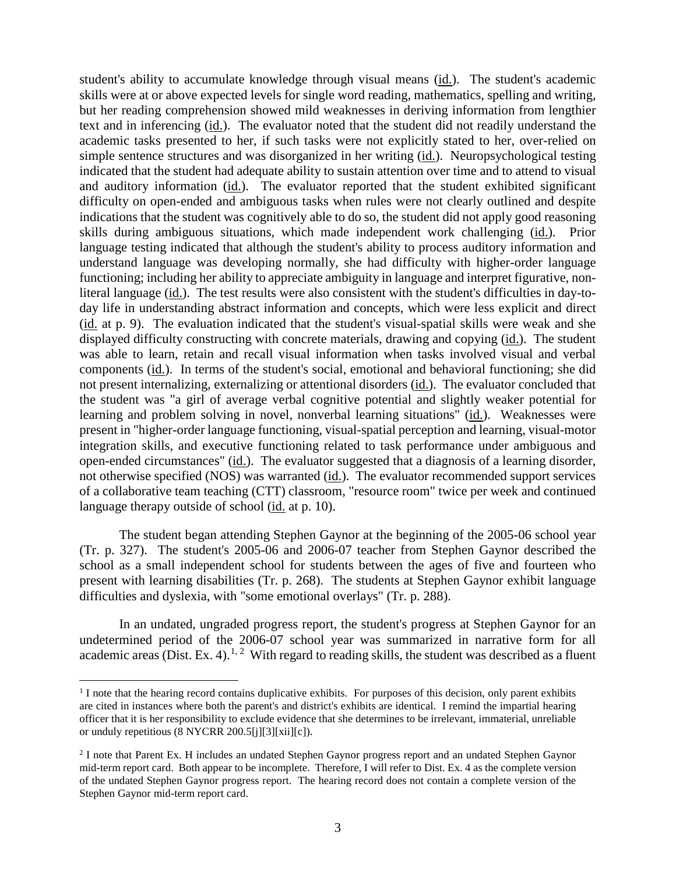student's ability to accumulate knowledge through visual means (id.). The student's academic skills were at or above expected levels for single word reading, mathematics, spelling and writing, but her reading comprehension showed mild weaknesses in deriving information from lengthier text and in inferencing (id.). The evaluator noted that the student did not readily understand the academic tasks presented to her, if such tasks were not explicitly stated to her, over-relied on simple sentence structures and was disorganized in her writing (id.). Neuropsychological testing indicated that the student had adequate ability to sustain attention over time and to attend to visual and auditory information (id.). The evaluator reported that the student exhibited significant difficulty on open-ended and ambiguous tasks when rules were not clearly outlined and despite indications that the student was cognitively able to do so, the student did not apply good reasoning skills during ambiguous situations, which made independent work challenging (id.). Prior language testing indicated that although the student's ability to process auditory information and understand language was developing normally, she had difficulty with higher-order language functioning; including her ability to appreciate ambiguity in language and interpret figurative, nonliteral language (id.). The test results were also consistent with the student's difficulties in day-today life in understanding abstract information and concepts, which were less explicit and direct (id. at p. 9). The evaluation indicated that the student's visual-spatial skills were weak and she displayed difficulty constructing with concrete materials, drawing and copying (id.). The student was able to learn, retain and recall visual information when tasks involved visual and verbal components (id.). In terms of the student's social, emotional and behavioral functioning; she did not present internalizing, externalizing or attentional disorders (id.). The evaluator concluded that the student was "a girl of average verbal cognitive potential and slightly weaker potential for learning and problem solving in novel, nonverbal learning situations" (id.). Weaknesses were present in "higher-order language functioning, visual-spatial perception and learning, visual-motor integration skills, and executive functioning related to task performance under ambiguous and open-ended circumstances" (id.). The evaluator suggested that a diagnosis of a learning disorder, not otherwise specified (NOS) was warranted (id.). The evaluator recommended support services of a collaborative team teaching (CTT) classroom, "resource room" twice per week and continued language therapy outside of school (id. at p. 10).

The student began attending Stephen Gaynor at the beginning of the 2005-06 school year (Tr. p. 327). The student's 2005-06 and 2006-07 teacher from Stephen Gaynor described the school as a small independent school for students between the ages of five and fourteen who present with learning disabilities (Tr. p. 268). The students at Stephen Gaynor exhibit language difficulties and dyslexia, with "some emotional overlays" (Tr. p. 288).

In an undated, ungraded progress report, the student's progress at Stephen Gaynor for an undetermined period of the 2006-07 school year was summarized in narrative form for all academic areas (Dist. Ex. 4).<sup>1, 2</sup> With regard to reading skills, the student was described as a fluent

<sup>&</sup>lt;sup>1</sup> I note that the hearing record contains duplicative exhibits. For purposes of this decision, only parent exhibits are cited in instances where both the parent's and district's exhibits are identical. I remind the impartial hearing officer that it is her responsibility to exclude evidence that she determines to be irrelevant, immaterial, unreliable or unduly repetitious (8 NYCRR 200.5[j][3][xii][c]).

<sup>2</sup> I note that Parent Ex. H includes an undated Stephen Gaynor progress report and an undated Stephen Gaynor mid-term report card. Both appear to be incomplete. Therefore, I will refer to Dist. Ex. 4 as the complete version of the undated Stephen Gaynor progress report. The hearing record does not contain a complete version of the Stephen Gaynor mid-term report card.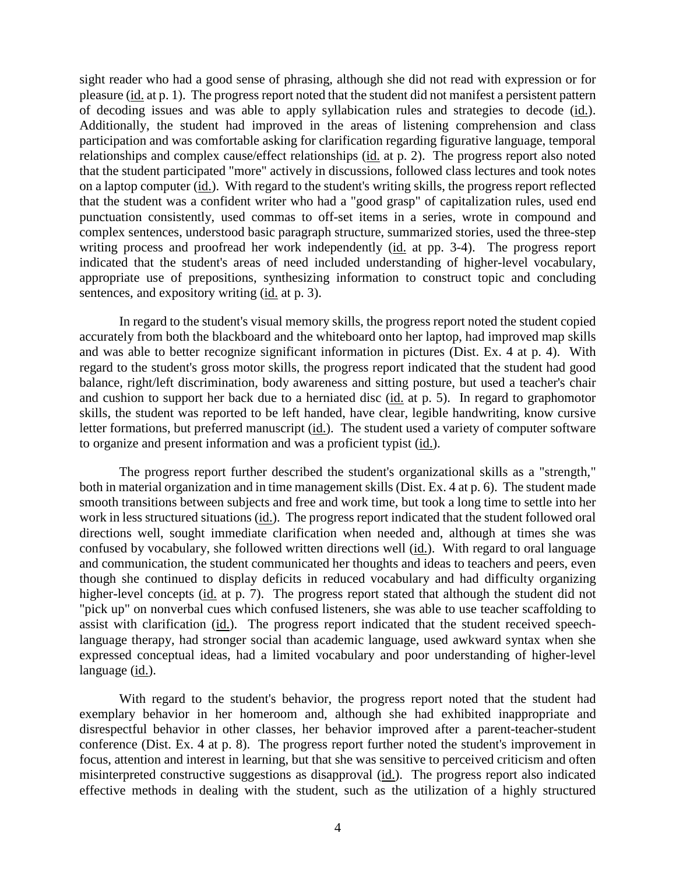sight reader who had a good sense of phrasing, although she did not read with expression or for pleasure (id. at p. 1). The progress report noted that the student did not manifest a persistent pattern of decoding issues and was able to apply syllabication rules and strategies to decode (id.). Additionally, the student had improved in the areas of listening comprehension and class participation and was comfortable asking for clarification regarding figurative language, temporal relationships and complex cause/effect relationships (id. at p. 2). The progress report also noted that the student participated "more" actively in discussions, followed class lectures and took notes on a laptop computer (id.). With regard to the student's writing skills, the progress report reflected that the student was a confident writer who had a "good grasp" of capitalization rules, used end punctuation consistently, used commas to off-set items in a series, wrote in compound and complex sentences, understood basic paragraph structure, summarized stories, used the three-step writing process and proofread her work independently (id. at pp. 3-4). The progress report indicated that the student's areas of need included understanding of higher-level vocabulary, appropriate use of prepositions, synthesizing information to construct topic and concluding sentences, and expository writing (id. at p. 3).

In regard to the student's visual memory skills, the progress report noted the student copied accurately from both the blackboard and the whiteboard onto her laptop, had improved map skills and was able to better recognize significant information in pictures (Dist. Ex. 4 at p. 4). With regard to the student's gross motor skills, the progress report indicated that the student had good balance, right/left discrimination, body awareness and sitting posture, but used a teacher's chair and cushion to support her back due to a herniated disc (id. at p. 5). In regard to graphomotor skills, the student was reported to be left handed, have clear, legible handwriting, know cursive letter formations, but preferred manuscript (id.). The student used a variety of computer software to organize and present information and was a proficient typist (id.).

The progress report further described the student's organizational skills as a "strength," both in material organization and in time management skills (Dist. Ex. 4 at p. 6). The student made smooth transitions between subjects and free and work time, but took a long time to settle into her work in less structured situations (id.). The progress report indicated that the student followed oral directions well, sought immediate clarification when needed and, although at times she was confused by vocabulary, she followed written directions well (id.). With regard to oral language and communication, the student communicated her thoughts and ideas to teachers and peers, even though she continued to display deficits in reduced vocabulary and had difficulty organizing higher-level concepts (id. at p. 7). The progress report stated that although the student did not "pick up" on nonverbal cues which confused listeners, she was able to use teacher scaffolding to assist with clarification (id.). The progress report indicated that the student received speechlanguage therapy, had stronger social than academic language, used awkward syntax when she expressed conceptual ideas, had a limited vocabulary and poor understanding of higher-level language (id.).

With regard to the student's behavior, the progress report noted that the student had exemplary behavior in her homeroom and, although she had exhibited inappropriate and disrespectful behavior in other classes, her behavior improved after a parent-teacher-student conference (Dist. Ex. 4 at p. 8). The progress report further noted the student's improvement in focus, attention and interest in learning, but that she was sensitive to perceived criticism and often misinterpreted constructive suggestions as disapproval (id.). The progress report also indicated effective methods in dealing with the student, such as the utilization of a highly structured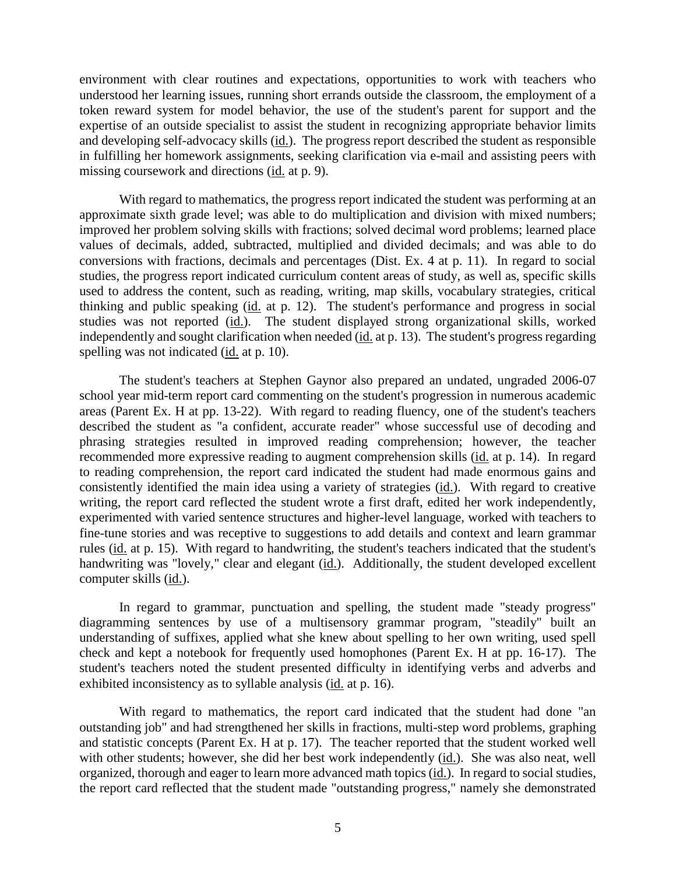environment with clear routines and expectations, opportunities to work with teachers who understood her learning issues, running short errands outside the classroom, the employment of a token reward system for model behavior, the use of the student's parent for support and the expertise of an outside specialist to assist the student in recognizing appropriate behavior limits and developing self-advocacy skills (id.). The progress report described the student as responsible in fulfilling her homework assignments, seeking clarification via e-mail and assisting peers with missing coursework and directions (id. at p. 9).

With regard to mathematics, the progress report indicated the student was performing at an approximate sixth grade level; was able to do multiplication and division with mixed numbers; improved her problem solving skills with fractions; solved decimal word problems; learned place values of decimals, added, subtracted, multiplied and divided decimals; and was able to do conversions with fractions, decimals and percentages (Dist. Ex. 4 at p. 11). In regard to social studies, the progress report indicated curriculum content areas of study, as well as, specific skills used to address the content, such as reading, writing, map skills, vocabulary strategies, critical thinking and public speaking (id. at p. 12). The student's performance and progress in social studies was not reported (id.). The student displayed strong organizational skills, worked independently and sought clarification when needed (id. at p. 13). The student's progress regarding spelling was not indicated (id. at p. 10).

The student's teachers at Stephen Gaynor also prepared an undated, ungraded 2006-07 school year mid-term report card commenting on the student's progression in numerous academic areas (Parent Ex. H at pp. 13-22). With regard to reading fluency, one of the student's teachers described the student as "a confident, accurate reader" whose successful use of decoding and phrasing strategies resulted in improved reading comprehension; however, the teacher recommended more expressive reading to augment comprehension skills (id. at p. 14). In regard to reading comprehension, the report card indicated the student had made enormous gains and consistently identified the main idea using a variety of strategies (id.). With regard to creative writing, the report card reflected the student wrote a first draft, edited her work independently, experimented with varied sentence structures and higher-level language, worked with teachers to fine-tune stories and was receptive to suggestions to add details and context and learn grammar rules (id. at p. 15). With regard to handwriting, the student's teachers indicated that the student's handwriting was "lovely," clear and elegant (id.). Additionally, the student developed excellent computer skills (id.).

In regard to grammar, punctuation and spelling, the student made "steady progress" diagramming sentences by use of a multisensory grammar program, "steadily" built an understanding of suffixes, applied what she knew about spelling to her own writing, used spell check and kept a notebook for frequently used homophones (Parent Ex. H at pp. 16-17). The student's teachers noted the student presented difficulty in identifying verbs and adverbs and exhibited inconsistency as to syllable analysis (id. at p. 16).

With regard to mathematics, the report card indicated that the student had done "an outstanding job" and had strengthened her skills in fractions, multi-step word problems, graphing and statistic concepts (Parent Ex. H at p. 17). The teacher reported that the student worked well with other students; however, she did her best work independently (id.). She was also neat, well organized, thorough and eager to learn more advanced math topics (id.). In regard to social studies, the report card reflected that the student made "outstanding progress," namely she demonstrated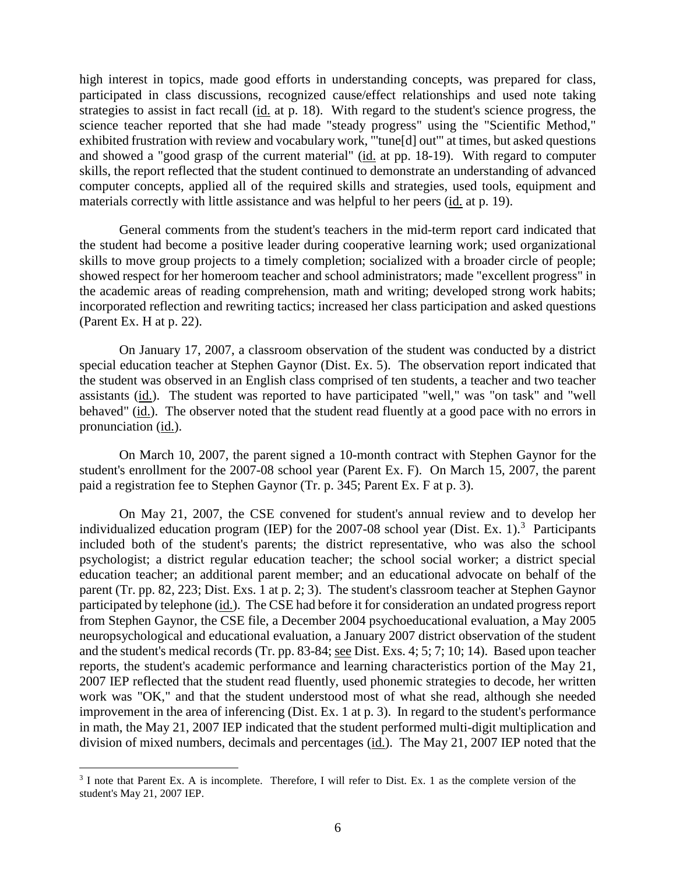high interest in topics, made good efforts in understanding concepts, was prepared for class, participated in class discussions, recognized cause/effect relationships and used note taking strategies to assist in fact recall (id. at p. 18). With regard to the student's science progress, the science teacher reported that she had made "steady progress" using the "Scientific Method," exhibited frustration with review and vocabulary work, "'tune[d] out'" at times, but asked questions and showed a "good grasp of the current material" (id. at pp. 18-19). With regard to computer skills, the report reflected that the student continued to demonstrate an understanding of advanced computer concepts, applied all of the required skills and strategies, used tools, equipment and materials correctly with little assistance and was helpful to her peers (id. at p. 19).

General comments from the student's teachers in the mid-term report card indicated that the student had become a positive leader during cooperative learning work; used organizational skills to move group projects to a timely completion; socialized with a broader circle of people; showed respect for her homeroom teacher and school administrators; made "excellent progress" in the academic areas of reading comprehension, math and writing; developed strong work habits; incorporated reflection and rewriting tactics; increased her class participation and asked questions (Parent Ex. H at p. 22).

On January 17, 2007, a classroom observation of the student was conducted by a district special education teacher at Stephen Gaynor (Dist. Ex. 5). The observation report indicated that the student was observed in an English class comprised of ten students, a teacher and two teacher assistants (id.). The student was reported to have participated "well," was "on task" and "well behaved" (id.). The observer noted that the student read fluently at a good pace with no errors in pronunciation (id.).

On March 10, 2007, the parent signed a 10-month contract with Stephen Gaynor for the student's enrollment for the 2007-08 school year (Parent Ex. F). On March 15, 2007, the parent paid a registration fee to Stephen Gaynor (Tr. p. 345; Parent Ex. F at p. 3).

On May 21, 2007, the CSE convened for student's annual review and to develop her individualized education program (IEP) for the  $2007-08$  school year (Dist. Ex. 1).<sup>3</sup> Participants included both of the student's parents; the district representative, who was also the school psychologist; a district regular education teacher; the school social worker; a district special education teacher; an additional parent member; and an educational advocate on behalf of the parent (Tr. pp. 82, 223; Dist. Exs. 1 at p. 2; 3). The student's classroom teacher at Stephen Gaynor participated by telephone (id.). The CSE had before it for consideration an undated progress report from Stephen Gaynor, the CSE file, a December 2004 psychoeducational evaluation, a May 2005 neuropsychological and educational evaluation, a January 2007 district observation of the student and the student's medical records (Tr. pp. 83-84; see Dist. Exs. 4; 5; 7; 10; 14). Based upon teacher reports, the student's academic performance and learning characteristics portion of the May 21, 2007 IEP reflected that the student read fluently, used phonemic strategies to decode, her written work was "OK," and that the student understood most of what she read, although she needed improvement in the area of inferencing (Dist. Ex. 1 at p. 3). In regard to the student's performance in math, the May 21, 2007 IEP indicated that the student performed multi-digit multiplication and division of mixed numbers, decimals and percentages (id.). The May 21, 2007 IEP noted that the

<sup>&</sup>lt;sup>3</sup> I note that Parent Ex. A is incomplete. Therefore, I will refer to Dist. Ex. 1 as the complete version of the student's May 21, 2007 IEP.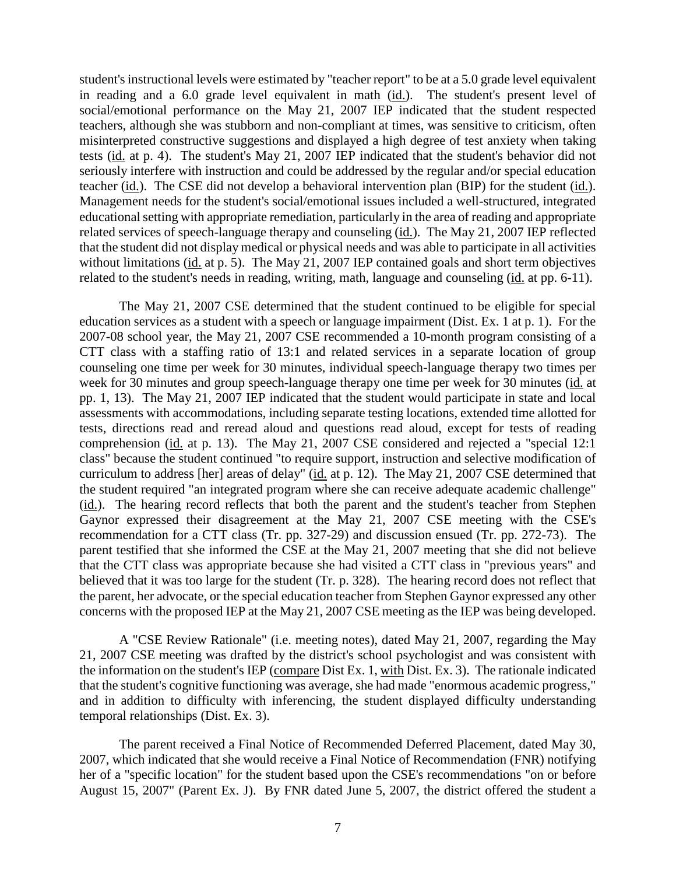student's instructional levels were estimated by "teacher report" to be at a 5.0 grade level equivalent in reading and a 6.0 grade level equivalent in math (id.). The student's present level of social/emotional performance on the May 21, 2007 IEP indicated that the student respected teachers, although she was stubborn and non-compliant at times, was sensitive to criticism, often misinterpreted constructive suggestions and displayed a high degree of test anxiety when taking tests (id. at p. 4). The student's May 21, 2007 IEP indicated that the student's behavior did not seriously interfere with instruction and could be addressed by the regular and/or special education teacher (id.). The CSE did not develop a behavioral intervention plan (BIP) for the student (id.). Management needs for the student's social/emotional issues included a well-structured, integrated educational setting with appropriate remediation, particularly in the area of reading and appropriate related services of speech-language therapy and counseling (id.). The May 21, 2007 IEP reflected that the student did not display medical or physical needs and was able to participate in all activities without limitations (id. at p. 5). The May 21, 2007 IEP contained goals and short term objectives related to the student's needs in reading, writing, math, language and counseling (id. at pp. 6-11).

The May 21, 2007 CSE determined that the student continued to be eligible for special education services as a student with a speech or language impairment (Dist. Ex. 1 at p. 1). For the 2007-08 school year, the May 21, 2007 CSE recommended a 10-month program consisting of a CTT class with a staffing ratio of 13:1 and related services in a separate location of group counseling one time per week for 30 minutes, individual speech-language therapy two times per week for 30 minutes and group speech-language therapy one time per week for 30 minutes (id. at pp. 1, 13). The May 21, 2007 IEP indicated that the student would participate in state and local assessments with accommodations, including separate testing locations, extended time allotted for tests, directions read and reread aloud and questions read aloud, except for tests of reading comprehension (id. at p. 13). The May 21, 2007 CSE considered and rejected a "special 12:1" class" because the student continued "to require support, instruction and selective modification of curriculum to address [her] areas of delay" (id. at p. 12). The May 21, 2007 CSE determined that the student required "an integrated program where she can receive adequate academic challenge" (id.). The hearing record reflects that both the parent and the student's teacher from Stephen Gaynor expressed their disagreement at the May 21, 2007 CSE meeting with the CSE's recommendation for a CTT class (Tr. pp. 327-29) and discussion ensued (Tr. pp. 272-73). The parent testified that she informed the CSE at the May 21, 2007 meeting that she did not believe that the CTT class was appropriate because she had visited a CTT class in "previous years" and believed that it was too large for the student (Tr. p. 328). The hearing record does not reflect that the parent, her advocate, or the special education teacher from Stephen Gaynor expressed any other concerns with the proposed IEP at the May 21, 2007 CSE meeting as the IEP was being developed.

A "CSE Review Rationale" (i.e. meeting notes), dated May 21, 2007, regarding the May 21, 2007 CSE meeting was drafted by the district's school psychologist and was consistent with the information on the student's IEP (compare Dist Ex. 1, with Dist. Ex. 3). The rationale indicated that the student's cognitive functioning was average, she had made "enormous academic progress," and in addition to difficulty with inferencing, the student displayed difficulty understanding temporal relationships (Dist. Ex. 3).

The parent received a Final Notice of Recommended Deferred Placement, dated May 30, 2007, which indicated that she would receive a Final Notice of Recommendation (FNR) notifying her of a "specific location" for the student based upon the CSE's recommendations "on or before August 15, 2007" (Parent Ex. J). By FNR dated June 5, 2007, the district offered the student a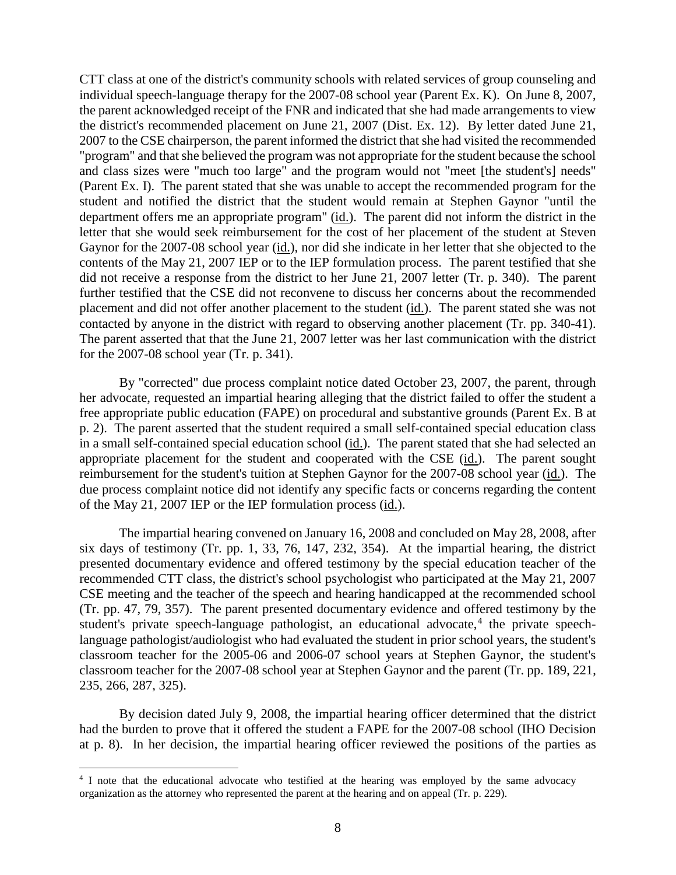CTT class at one of the district's community schools with related services of group counseling and individual speech-language therapy for the 2007-08 school year (Parent Ex. K). On June 8, 2007, the parent acknowledged receipt of the FNR and indicated that she had made arrangements to view the district's recommended placement on June 21, 2007 (Dist. Ex. 12). By letter dated June 21, 2007 to the CSE chairperson, the parent informed the district that she had visited the recommended "program" and that she believed the program was not appropriate for the student because the school and class sizes were "much too large" and the program would not "meet [the student's] needs" (Parent Ex. I). The parent stated that she was unable to accept the recommended program for the student and notified the district that the student would remain at Stephen Gaynor "until the department offers me an appropriate program" (id.). The parent did not inform the district in the letter that she would seek reimbursement for the cost of her placement of the student at Steven Gaynor for the 2007-08 school year (id.), nor did she indicate in her letter that she objected to the contents of the May 21, 2007 IEP or to the IEP formulation process. The parent testified that she did not receive a response from the district to her June 21, 2007 letter (Tr. p. 340). The parent further testified that the CSE did not reconvene to discuss her concerns about the recommended placement and did not offer another placement to the student (id.). The parent stated she was not contacted by anyone in the district with regard to observing another placement (Tr. pp. 340-41). The parent asserted that that the June 21, 2007 letter was her last communication with the district for the 2007-08 school year (Tr. p. 341).

By "corrected" due process complaint notice dated October 23, 2007, the parent, through her advocate, requested an impartial hearing alleging that the district failed to offer the student a free appropriate public education (FAPE) on procedural and substantive grounds (Parent Ex. B at p. 2). The parent asserted that the student required a small self-contained special education class in a small self-contained special education school (id.). The parent stated that she had selected an appropriate placement for the student and cooperated with the CSE (id.). The parent sought reimbursement for the student's tuition at Stephen Gaynor for the 2007-08 school year (id.). The due process complaint notice did not identify any specific facts or concerns regarding the content of the May 21, 2007 IEP or the IEP formulation process (id.).

The impartial hearing convened on January 16, 2008 and concluded on May 28, 2008, after six days of testimony (Tr. pp. 1, 33, 76, 147, 232, 354). At the impartial hearing, the district presented documentary evidence and offered testimony by the special education teacher of the recommended CTT class, the district's school psychologist who participated at the May 21, 2007 CSE meeting and the teacher of the speech and hearing handicapped at the recommended school (Tr. pp. 47, 79, 357). The parent presented documentary evidence and offered testimony by the student's private speech-language pathologist, an educational advocate, $4$  the private speechlanguage pathologist/audiologist who had evaluated the student in prior school years, the student's classroom teacher for the 2005-06 and 2006-07 school years at Stephen Gaynor, the student's classroom teacher for the 2007-08 school year at Stephen Gaynor and the parent (Tr. pp. 189, 221, 235, 266, 287, 325).

By decision dated July 9, 2008, the impartial hearing officer determined that the district had the burden to prove that it offered the student a FAPE for the 2007-08 school (IHO Decision at p. 8). In her decision, the impartial hearing officer reviewed the positions of the parties as

<sup>&</sup>lt;sup>4</sup> I note that the educational advocate who testified at the hearing was employed by the same advocacy organization as the attorney who represented the parent at the hearing and on appeal (Tr. p. 229).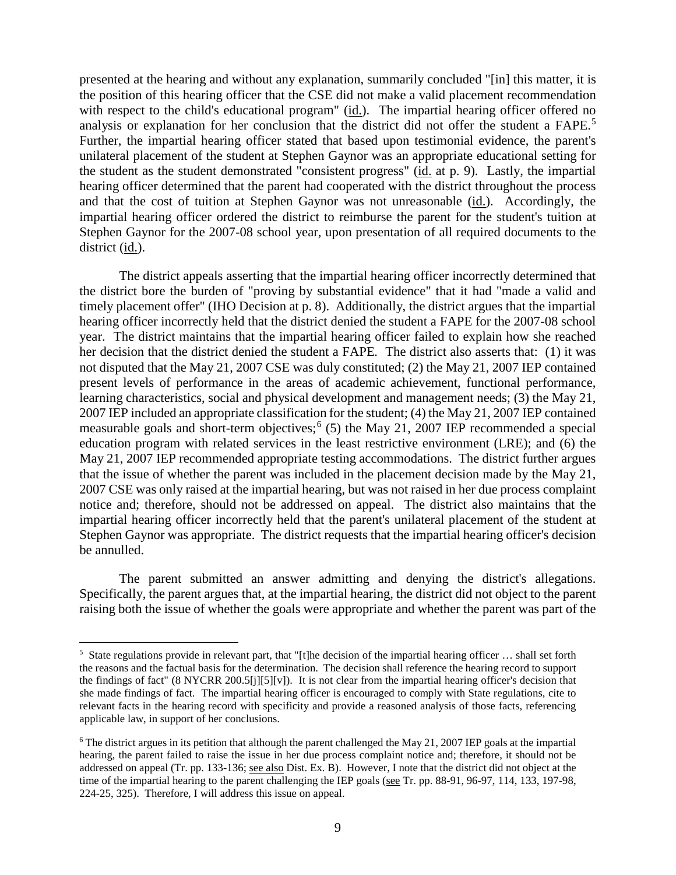presented at the hearing and without any explanation, summarily concluded "[in] this matter, it is the position of this hearing officer that the CSE did not make a valid placement recommendation with respect to the child's educational program" (id.). The impartial hearing officer offered no analysis or explanation for her conclusion that the district did not offer the student a FAPE. 5 Further, the impartial hearing officer stated that based upon testimonial evidence, the parent's unilateral placement of the student at Stephen Gaynor was an appropriate educational setting for the student as the student demonstrated "consistent progress" (id. at p. 9). Lastly, the impartial hearing officer determined that the parent had cooperated with the district throughout the process and that the cost of tuition at Stephen Gaynor was not unreasonable (id.). Accordingly, the impartial hearing officer ordered the district to reimburse the parent for the student's tuition at Stephen Gaynor for the 2007-08 school year, upon presentation of all required documents to the district (id.).

The district appeals asserting that the impartial hearing officer incorrectly determined that the district bore the burden of "proving by substantial evidence" that it had "made a valid and timely placement offer" (IHO Decision at p. 8). Additionally, the district argues that the impartial hearing officer incorrectly held that the district denied the student a FAPE for the 2007-08 school year. The district maintains that the impartial hearing officer failed to explain how she reached her decision that the district denied the student a FAPE*.* The district also asserts that: (1) it was not disputed that the May 21, 2007 CSE was duly constituted; (2) the May 21, 2007 IEP contained present levels of performance in the areas of academic achievement, functional performance, learning characteristics, social and physical development and management needs; (3) the May 21, 2007 IEP included an appropriate classification for the student; (4) the May 21, 2007 IEP contained measurable goals and short-term objectives;<sup>6</sup> (5) the May 21, 2007 IEP recommended a special education program with related services in the least restrictive environment (LRE); and (6) the May 21, 2007 IEP recommended appropriate testing accommodations. The district further argues that the issue of whether the parent was included in the placement decision made by the May 21, 2007 CSE was only raised at the impartial hearing, but was not raised in her due process complaint notice and; therefore, should not be addressed on appeal. The district also maintains that the impartial hearing officer incorrectly held that the parent's unilateral placement of the student at Stephen Gaynor was appropriate. The district requests that the impartial hearing officer's decision be annulled.

The parent submitted an answer admitting and denying the district's allegations. Specifically, the parent argues that, at the impartial hearing, the district did not object to the parent raising both the issue of whether the goals were appropriate and whether the parent was part of the

 $\frac{1}{5}$  $5$  State regulations provide in relevant part, that "[t]he decision of the impartial hearing officer  $\dots$  shall set forth the reasons and the factual basis for the determination. The decision shall reference the hearing record to support the findings of fact" (8 NYCRR 200.5[j][5][v]). It is not clear from the impartial hearing officer's decision that she made findings of fact. The impartial hearing officer is encouraged to comply with State regulations, cite to relevant facts in the hearing record with specificity and provide a reasoned analysis of those facts, referencing applicable law, in support of her conclusions.

 $6$  The district argues in its petition that although the parent challenged the May 21, 2007 IEP goals at the impartial hearing, the parent failed to raise the issue in her due process complaint notice and; therefore, it should not be addressed on appeal (Tr. pp. 133-136; see also Dist. Ex. B). However, I note that the district did not object at the time of the impartial hearing to the parent challenging the IEP goals (see Tr. pp. 88-91, 96-97, 114, 133, 197-98, 224-25, 325). Therefore, I will address this issue on appeal.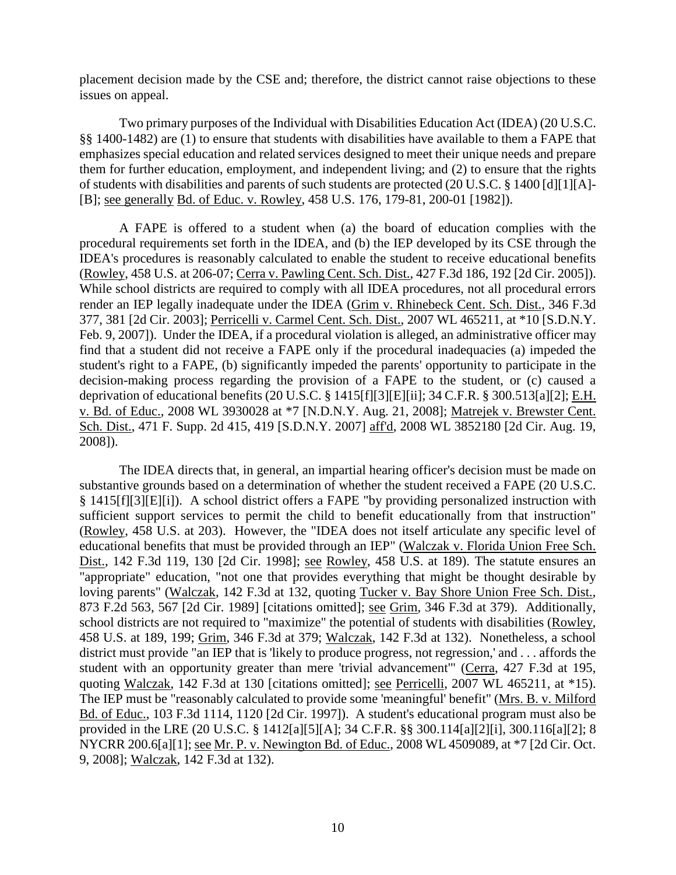placement decision made by the CSE and; therefore, the district cannot raise objections to these issues on appeal.

Two primary purposes of the Individual with Disabilities Education Act (IDEA) (20 U.S.C. §§ 1400-1482) are (1) to ensure that students with disabilities have available to them a FAPE that emphasizes special education and related services designed to meet their unique needs and prepare them for further education, employment, and independent living; and (2) to ensure that the rights of students with disabilities and parents of such students are protected (20 U.S.C. § 1400 [d][1][A]- [B]; see generally Bd. of Educ. v. Rowley, 458 U.S. 176, 179-81, 200-01 [1982]).

A FAPE is offered to a student when (a) the board of education complies with the procedural requirements set forth in the IDEA, and (b) the IEP developed by its CSE through the IDEA's procedures is reasonably calculated to enable the student to receive educational benefits (Rowley, 458 U.S. at 206-07; Cerra v. Pawling Cent. Sch. Dist., 427 F.3d 186, 192 [2d Cir. 2005]). While school districts are required to comply with all IDEA procedures, not all procedural errors render an IEP legally inadequate under the IDEA (Grim v. Rhinebeck Cent. Sch. Dist., 346 F.3d 377, 381 [2d Cir. 2003]; Perricelli v. Carmel Cent. Sch. Dist., 2007 WL 465211, at \*10 [S.D.N.Y. Feb. 9, 2007]). Under the IDEA, if a procedural violation is alleged, an administrative officer may find that a student did not receive a FAPE only if the procedural inadequacies (a) impeded the student's right to a FAPE, (b) significantly impeded the parents' opportunity to participate in the decision-making process regarding the provision of a FAPE to the student, or (c) caused a deprivation of educational benefits (20 U.S.C. § 1415[f][3][E][ii]; 34 C.F.R. § 300.513[a][2]; E.H. v. Bd. of Educ., 2008 WL 3930028 at \*7 [N.D.N.Y. Aug. 21, 2008]; Matrejek v. Brewster Cent. Sch. Dist., 471 F. Supp. 2d 415, 419 [S.D.N.Y. 2007] aff'd, 2008 WL 3852180 [2d Cir. Aug. 19, 2008]).

The IDEA directs that, in general, an impartial hearing officer's decision must be made on substantive grounds based on a determination of whether the student received a FAPE (20 U.S.C. § 1415[f][3][E][i]). A school district offers a FAPE "by providing personalized instruction with sufficient support services to permit the child to benefit educationally from that instruction" (Rowley, 458 U.S. at 203). However, the "IDEA does not itself articulate any specific level of educational benefits that must be provided through an IEP" (Walczak v. Florida Union Free Sch. Dist., 142 F.3d 119, 130 [2d Cir. 1998]; see Rowley, 458 U.S. at 189). The statute ensures an "appropriate" education, "not one that provides everything that might be thought desirable by loving parents" (Walczak, 142 F.3d at 132, quoting Tucker v. Bay Shore Union Free Sch. Dist., 873 F.2d 563, 567 [2d Cir. 1989] [citations omitted]; see Grim, 346 F.3d at 379). Additionally, school districts are not required to "maximize" the potential of students with disabilities (Rowley, 458 U.S. at 189, 199; Grim, 346 F.3d at 379; Walczak, 142 F.3d at 132). Nonetheless, a school district must provide "an IEP that is 'likely to produce progress, not regression,' and . . . affords the student with an opportunity greater than mere 'trivial advancement'" (Cerra, 427 F.3d at 195, quoting Walczak, 142 F.3d at 130 [citations omitted]; see Perricelli, 2007 WL 465211, at \*15). The IEP must be "reasonably calculated to provide some 'meaningful' benefit" (Mrs. B. v. Milford Bd. of Educ., 103 F.3d 1114, 1120 [2d Cir. 1997]). A student's educational program must also be provided in the LRE (20 U.S.C. § 1412[a][5][A]; 34 C.F.R. §§ 300.114[a][2][i], 300.116[a][2]; 8 NYCRR 200.6[a][1]; see Mr. P. v. Newington Bd. of Educ., 2008 WL 4509089, at \*7 [2d Cir. Oct. 9, 2008]; Walczak, 142 F.3d at 132).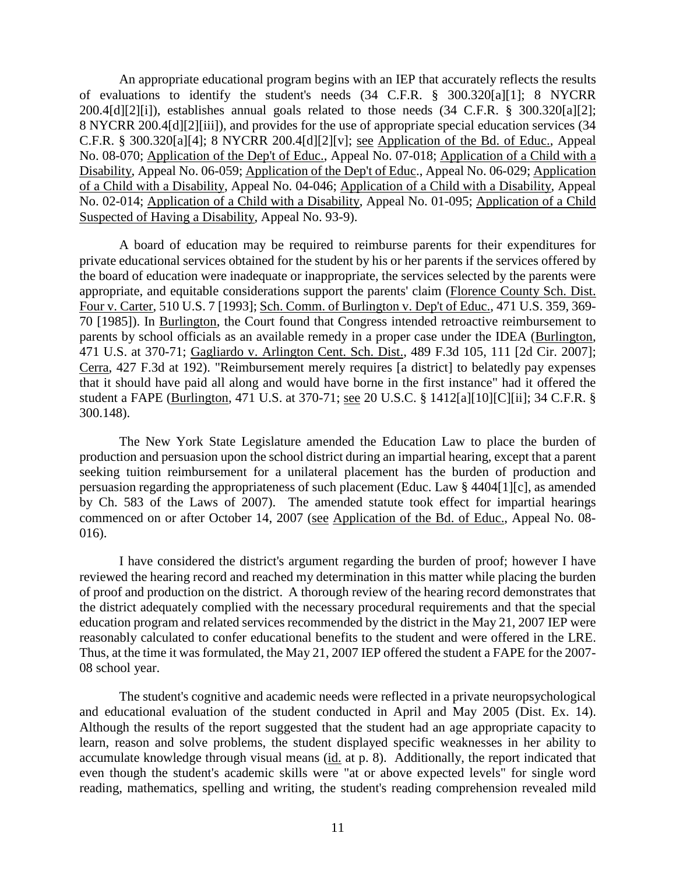An appropriate educational program begins with an IEP that accurately reflects the results of evaluations to identify the student's needs (34 C.F.R. § 300.320[a][1]; 8 NYCRR 200.4[d][2][i]), establishes annual goals related to those needs (34 C.F.R. § 300.320[a][2]; 8 NYCRR 200.4[d][2][iii]), and provides for the use of appropriate special education services (34 C.F.R. § 300.320[a][4]; 8 NYCRR 200.4[d][2][v]; see Application of the Bd. of Educ., Appeal No. 08-070; Application of the Dep't of Educ., Appeal No. 07-018; Application of a Child with a Disability, Appeal No. 06-059; Application of the Dep't of Educ., Appeal No. 06-029; Application of a Child with a Disability, Appeal No. 04-046; Application of a Child with a Disability, Appeal No. 02-014; Application of a Child with a Disability, Appeal No. 01-095; Application of a Child Suspected of Having a Disability, Appeal No. 93-9).

A board of education may be required to reimburse parents for their expenditures for private educational services obtained for the student by his or her parents if the services offered by the board of education were inadequate or inappropriate, the services selected by the parents were appropriate, and equitable considerations support the parents' claim (Florence County Sch. Dist. Four v. Carter, 510 U.S. 7 [1993]; Sch. Comm. of Burlington v. Dep't of Educ., 471 U.S. 359, 369- 70 [1985]). In Burlington, the Court found that Congress intended retroactive reimbursement to parents by school officials as an available remedy in a proper case under the IDEA (Burlington, 471 U.S. at 370-71; Gagliardo v. Arlington Cent. Sch. Dist., 489 F.3d 105, 111 [2d Cir. 2007]; Cerra, 427 F.3d at 192). "Reimbursement merely requires [a district] to belatedly pay expenses that it should have paid all along and would have borne in the first instance" had it offered the student a FAPE (Burlington, 471 U.S. at 370-71; see 20 U.S.C. § 1412[a][10][C][ii]; 34 C.F.R. § 300.148).

The New York State Legislature amended the Education Law to place the burden of production and persuasion upon the school district during an impartial hearing, except that a parent seeking tuition reimbursement for a unilateral placement has the burden of production and persuasion regarding the appropriateness of such placement (Educ. Law § 4404[1][c], as amended by Ch. 583 of the Laws of 2007). The amended statute took effect for impartial hearings commenced on or after October 14, 2007 (see Application of the Bd. of Educ., Appeal No. 08-016).

I have considered the district's argument regarding the burden of proof; however I have reviewed the hearing record and reached my determination in this matter while placing the burden of proof and production on the district. A thorough review of the hearing record demonstrates that the district adequately complied with the necessary procedural requirements and that the special education program and related services recommended by the district in the May 21, 2007 IEP were reasonably calculated to confer educational benefits to the student and were offered in the LRE. Thus, at the time it was formulated, the May 21, 2007 IEP offered the student a FAPE for the 2007- 08 school year.

The student's cognitive and academic needs were reflected in a private neuropsychological and educational evaluation of the student conducted in April and May 2005 (Dist. Ex. 14). Although the results of the report suggested that the student had an age appropriate capacity to learn, reason and solve problems, the student displayed specific weaknesses in her ability to accumulate knowledge through visual means (id. at p. 8). Additionally, the report indicated that even though the student's academic skills were "at or above expected levels" for single word reading, mathematics, spelling and writing, the student's reading comprehension revealed mild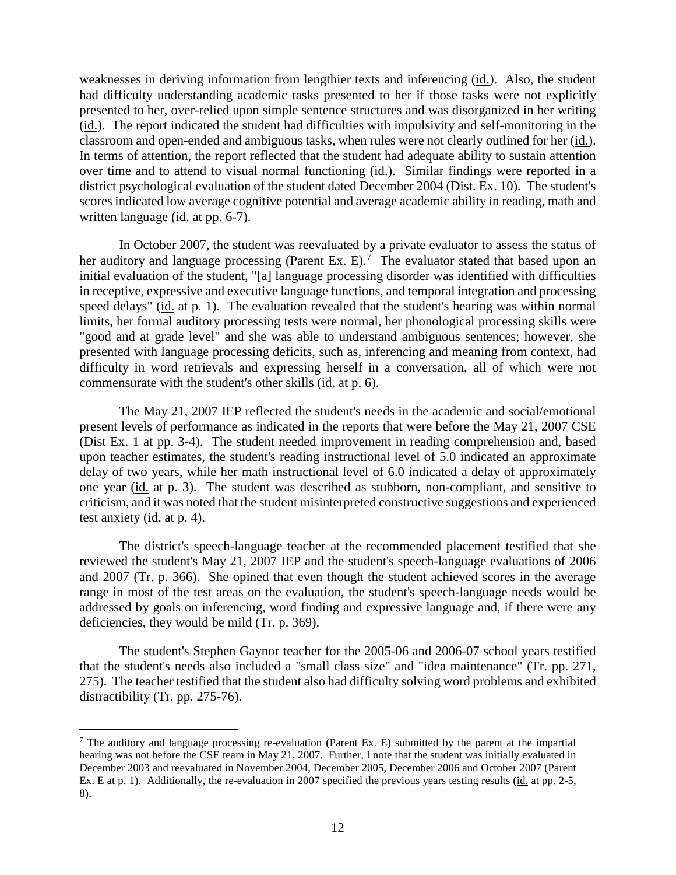weaknesses in deriving information from lengthier texts and inferencing (id.). Also, the student had difficulty understanding academic tasks presented to her if those tasks were not explicitly presented to her, over-relied upon simple sentence structures and was disorganized in her writing (id.). The report indicated the student had difficulties with impulsivity and self-monitoring in the classroom and open-ended and ambiguous tasks, when rules were not clearly outlined for her (id.). In terms of attention, the report reflected that the student had adequate ability to sustain attention over time and to attend to visual normal functioning (id.). Similar findings were reported in a district psychological evaluation of the student dated December 2004 (Dist. Ex. 10). The student's scores indicated low average cognitive potential and average academic ability in reading, math and written language (id. at pp. 6-7).

In October 2007, the student was reevaluated by a private evaluator to assess the status of her auditory and language processing (Parent Ex. E).<sup>7</sup> The evaluator stated that based upon an initial evaluation of the student, "[a] language processing disorder was identified with difficulties in receptive, expressive and executive language functions, and temporal integration and processing speed delays" (id. at p. 1). The evaluation revealed that the student's hearing was within normal limits, her formal auditory processing tests were normal, her phonological processing skills were "good and at grade level" and she was able to understand ambiguous sentences; however, she presented with language processing deficits, such as, inferencing and meaning from context, had difficulty in word retrievals and expressing herself in a conversation, all of which were not commensurate with the student's other skills (id. at p. 6).

The May 21, 2007 IEP reflected the student's needs in the academic and social/emotional present levels of performance as indicated in the reports that were before the May 21, 2007 CSE (Dist Ex. 1 at pp. 3-4). The student needed improvement in reading comprehension and, based upon teacher estimates, the student's reading instructional level of 5.0 indicated an approximate delay of two years, while her math instructional level of 6.0 indicated a delay of approximately one year (id. at p. 3). The student was described as stubborn, non-compliant, and sensitive to criticism, and it was noted that the student misinterpreted constructive suggestions and experienced test anxiety (id. at p. 4).

The district's speech-language teacher at the recommended placement testified that she reviewed the student's May 21, 2007 IEP and the student's speech-language evaluations of 2006 and 2007 (Tr. p. 366). She opined that even though the student achieved scores in the average range in most of the test areas on the evaluation, the student's speech-language needs would be addressed by goals on inferencing, word finding and expressive language and, if there were any deficiencies, they would be mild (Tr. p. 369).

The student's Stephen Gaynor teacher for the 2005-06 and 2006-07 school years testified that the student's needs also included a "small class size" and "idea maintenance" (Tr. pp. 271, 275). The teacher testified that the student also had difficulty solving word problems and exhibited distractibility (Tr. pp. 275-76).

 <sup>7</sup> The auditory and language processing re-evaluation (Parent Ex. E) submitted by the parent at the impartial hearing was not before the CSE team in May 21, 2007. Further, I note that the student was initially evaluated in December 2003 and reevaluated in November 2004, December 2005, December 2006 and October 2007 (Parent Ex. E at p. 1). Additionally, the re-evaluation in 2007 specified the previous years testing results (id. at pp. 2-5, 8).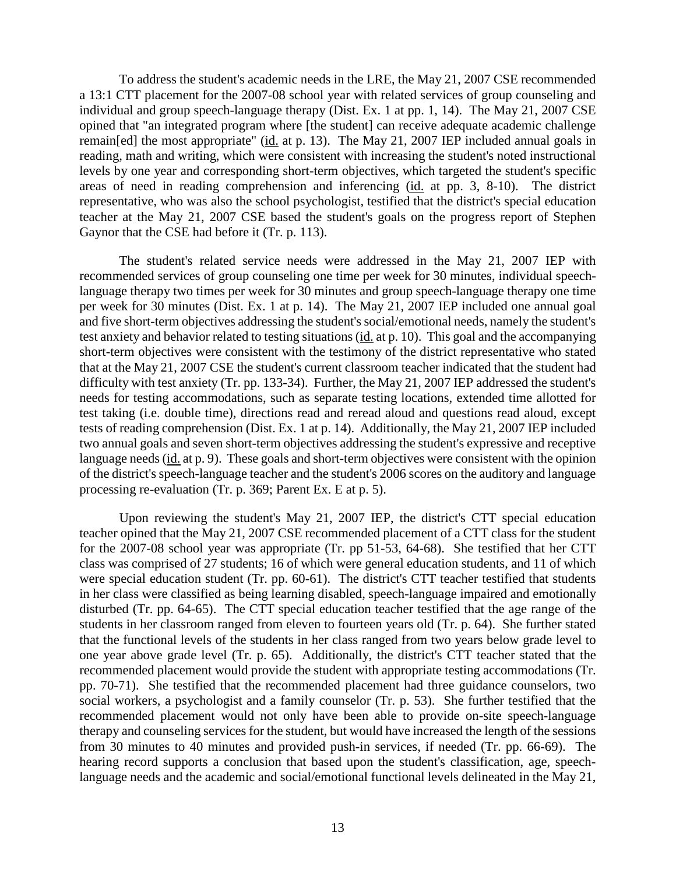To address the student's academic needs in the LRE, the May 21, 2007 CSE recommended a 13:1 CTT placement for the 2007-08 school year with related services of group counseling and individual and group speech-language therapy (Dist. Ex. 1 at pp. 1, 14). The May 21, 2007 CSE opined that "an integrated program where [the student] can receive adequate academic challenge remain[ed] the most appropriate" (id. at p. 13). The May 21, 2007 IEP included annual goals in reading, math and writing, which were consistent with increasing the student's noted instructional levels by one year and corresponding short-term objectives, which targeted the student's specific areas of need in reading comprehension and inferencing (id. at pp. 3, 8-10). The district representative, who was also the school psychologist, testified that the district's special education teacher at the May 21, 2007 CSE based the student's goals on the progress report of Stephen Gaynor that the CSE had before it (Tr. p. 113).

The student's related service needs were addressed in the May 21, 2007 IEP with recommended services of group counseling one time per week for 30 minutes, individual speechlanguage therapy two times per week for 30 minutes and group speech-language therapy one time per week for 30 minutes (Dist. Ex. 1 at p. 14). The May 21, 2007 IEP included one annual goal and five short-term objectives addressing the student's social/emotional needs, namely the student's test anxiety and behavior related to testing situations (id. at p. 10). This goal and the accompanying short-term objectives were consistent with the testimony of the district representative who stated that at the May 21, 2007 CSE the student's current classroom teacher indicated that the student had difficulty with test anxiety (Tr. pp. 133-34). Further, the May 21, 2007 IEP addressed the student's needs for testing accommodations, such as separate testing locations, extended time allotted for test taking (i.e. double time), directions read and reread aloud and questions read aloud, except tests of reading comprehension (Dist. Ex. 1 at p. 14). Additionally, the May 21, 2007 IEP included two annual goals and seven short-term objectives addressing the student's expressive and receptive language needs (id. at p. 9). These goals and short-term objectives were consistent with the opinion of the district's speech-language teacher and the student's 2006 scores on the auditory and language processing re-evaluation (Tr. p. 369; Parent Ex. E at p. 5).

Upon reviewing the student's May 21, 2007 IEP, the district's CTT special education teacher opined that the May 21, 2007 CSE recommended placement of a CTT class for the student for the 2007-08 school year was appropriate (Tr. pp 51-53, 64-68). She testified that her CTT class was comprised of 27 students; 16 of which were general education students, and 11 of which were special education student (Tr. pp. 60-61). The district's CTT teacher testified that students in her class were classified as being learning disabled, speech-language impaired and emotionally disturbed (Tr. pp. 64-65). The CTT special education teacher testified that the age range of the students in her classroom ranged from eleven to fourteen years old (Tr. p. 64). She further stated that the functional levels of the students in her class ranged from two years below grade level to one year above grade level (Tr. p. 65). Additionally, the district's CTT teacher stated that the recommended placement would provide the student with appropriate testing accommodations (Tr. pp. 70-71). She testified that the recommended placement had three guidance counselors, two social workers, a psychologist and a family counselor (Tr. p. 53). She further testified that the recommended placement would not only have been able to provide on-site speech-language therapy and counseling services for the student, but would have increased the length of the sessions from 30 minutes to 40 minutes and provided push-in services, if needed (Tr. pp. 66-69). The hearing record supports a conclusion that based upon the student's classification, age, speechlanguage needs and the academic and social/emotional functional levels delineated in the May 21,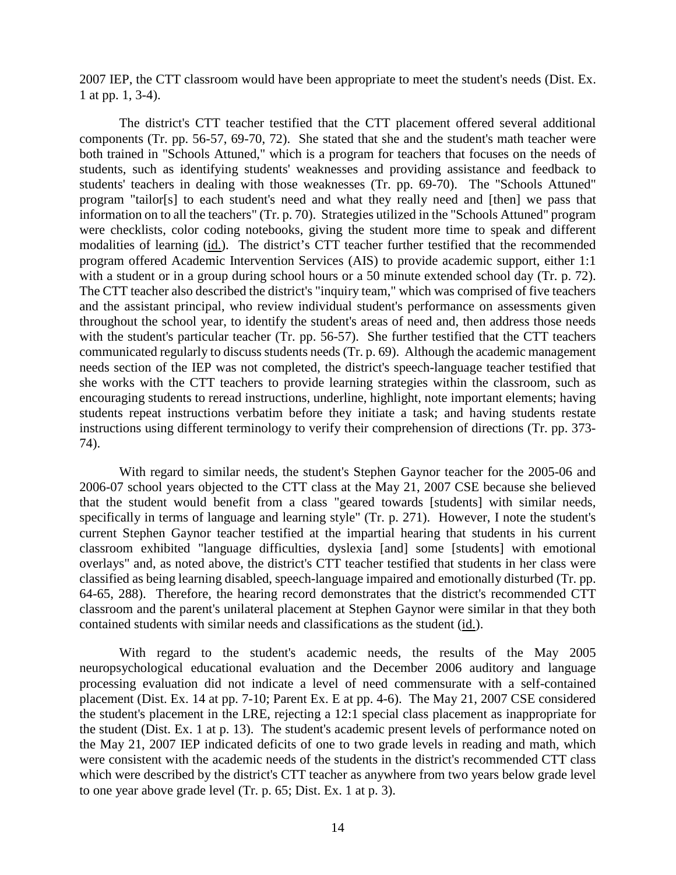2007 IEP, the CTT classroom would have been appropriate to meet the student's needs (Dist. Ex. 1 at pp. 1, 3-4).

The district's CTT teacher testified that the CTT placement offered several additional components (Tr. pp. 56-57, 69-70, 72). She stated that she and the student's math teacher were both trained in "Schools Attuned," which is a program for teachers that focuses on the needs of students, such as identifying students' weaknesses and providing assistance and feedback to students' teachers in dealing with those weaknesses (Tr. pp. 69-70). The "Schools Attuned" program "tailor[s] to each student's need and what they really need and [then] we pass that information on to all the teachers" (Tr. p. 70). Strategies utilized in the "Schools Attuned" program were checklists, color coding notebooks, giving the student more time to speak and different modalities of learning (id.). The district's CTT teacher further testified that the recommended program offered Academic Intervention Services (AIS) to provide academic support, either 1:1 with a student or in a group during school hours or a 50 minute extended school day (Tr. p. 72). The CTT teacher also described the district's "inquiry team," which was comprised of five teachers and the assistant principal, who review individual student's performance on assessments given throughout the school year, to identify the student's areas of need and, then address those needs with the student's particular teacher (Tr. pp. 56-57). She further testified that the CTT teachers communicated regularly to discuss students needs (Tr. p. 69). Although the academic management needs section of the IEP was not completed, the district's speech-language teacher testified that she works with the CTT teachers to provide learning strategies within the classroom, such as encouraging students to reread instructions, underline, highlight, note important elements; having students repeat instructions verbatim before they initiate a task; and having students restate instructions using different terminology to verify their comprehension of directions (Tr. pp. 373- 74).

With regard to similar needs, the student's Stephen Gaynor teacher for the 2005-06 and 2006-07 school years objected to the CTT class at the May 21, 2007 CSE because she believed that the student would benefit from a class "geared towards [students] with similar needs, specifically in terms of language and learning style" (Tr. p. 271). However, I note the student's current Stephen Gaynor teacher testified at the impartial hearing that students in his current classroom exhibited "language difficulties, dyslexia [and] some [students] with emotional overlays" and, as noted above, the district's CTT teacher testified that students in her class were classified as being learning disabled, speech-language impaired and emotionally disturbed (Tr. pp. 64-65, 288). Therefore, the hearing record demonstrates that the district's recommended CTT classroom and the parent's unilateral placement at Stephen Gaynor were similar in that they both contained students with similar needs and classifications as the student (id.).

With regard to the student's academic needs, the results of the May 2005 neuropsychological educational evaluation and the December 2006 auditory and language processing evaluation did not indicate a level of need commensurate with a self-contained placement (Dist. Ex. 14 at pp. 7-10; Parent Ex. E at pp. 4-6). The May 21, 2007 CSE considered the student's placement in the LRE, rejecting a 12:1 special class placement as inappropriate for the student (Dist. Ex. 1 at p. 13). The student's academic present levels of performance noted on the May 21, 2007 IEP indicated deficits of one to two grade levels in reading and math, which were consistent with the academic needs of the students in the district's recommended CTT class which were described by the district's CTT teacher as anywhere from two years below grade level to one year above grade level (Tr. p. 65; Dist. Ex. 1 at p. 3).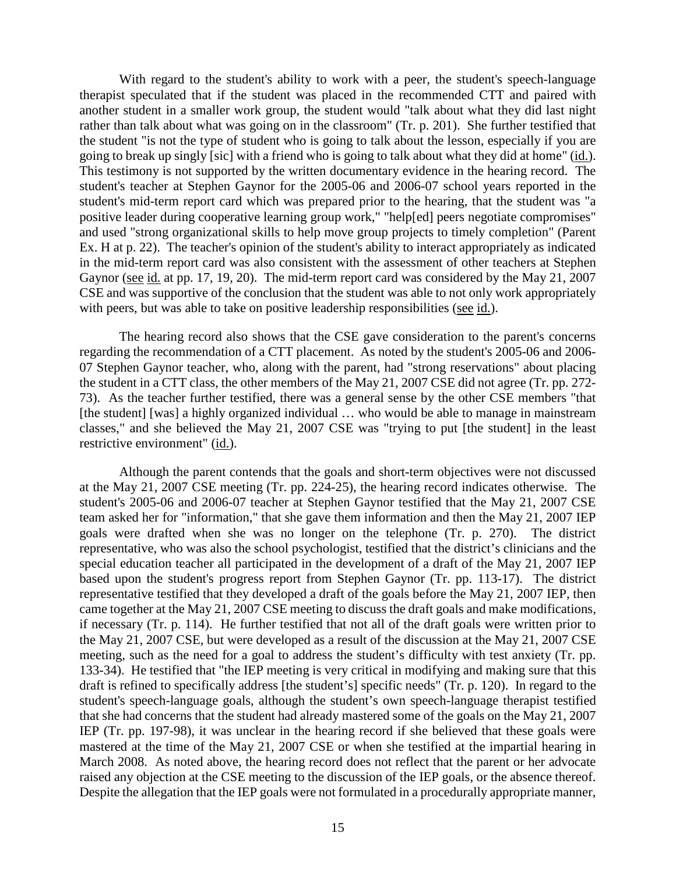With regard to the student's ability to work with a peer, the student's speech-language therapist speculated that if the student was placed in the recommended CTT and paired with another student in a smaller work group, the student would "talk about what they did last night rather than talk about what was going on in the classroom" (Tr. p. 201). She further testified that the student "is not the type of student who is going to talk about the lesson, especially if you are going to break up singly [sic] with a friend who is going to talk about what they did at home" (id.). This testimony is not supported by the written documentary evidence in the hearing record. The student's teacher at Stephen Gaynor for the 2005-06 and 2006-07 school years reported in the student's mid-term report card which was prepared prior to the hearing, that the student was "a positive leader during cooperative learning group work," "help[ed] peers negotiate compromises" and used "strong organizational skills to help move group projects to timely completion" (Parent Ex. H at p. 22). The teacher's opinion of the student's ability to interact appropriately as indicated in the mid-term report card was also consistent with the assessment of other teachers at Stephen Gaynor (see id. at pp. 17, 19, 20). The mid-term report card was considered by the May 21, 2007 CSE and was supportive of the conclusion that the student was able to not only work appropriately with peers, but was able to take on positive leadership responsibilities (see id.).

The hearing record also shows that the CSE gave consideration to the parent's concerns regarding the recommendation of a CTT placement. As noted by the student's 2005-06 and 2006- 07 Stephen Gaynor teacher, who, along with the parent, had "strong reservations" about placing the student in a CTT class, the other members of the May 21, 2007 CSE did not agree (Tr. pp. 272- 73). As the teacher further testified, there was a general sense by the other CSE members "that [the student] [was] a highly organized individual ... who would be able to manage in mainstream classes," and she believed the May 21, 2007 CSE was "trying to put [the student] in the least restrictive environment" (id.).

Although the parent contends that the goals and short-term objectives were not discussed at the May 21, 2007 CSE meeting (Tr. pp. 224-25), the hearing record indicates otherwise. The student's 2005-06 and 2006-07 teacher at Stephen Gaynor testified that the May 21, 2007 CSE team asked her for "information," that she gave them information and then the May 21, 2007 IEP goals were drafted when she was no longer on the telephone (Tr. p. 270). The district representative, who was also the school psychologist, testified that the district's clinicians and the special education teacher all participated in the development of a draft of the May 21, 2007 IEP based upon the student's progress report from Stephen Gaynor (Tr. pp. 113-17). The district representative testified that they developed a draft of the goals before the May 21, 2007 IEP, then came together at the May 21, 2007 CSE meeting to discuss the draft goals and make modifications, if necessary (Tr. p. 114). He further testified that not all of the draft goals were written prior to the May 21, 2007 CSE, but were developed as a result of the discussion at the May 21, 2007 CSE meeting, such as the need for a goal to address the student's difficulty with test anxiety (Tr. pp. 133-34). He testified that "the IEP meeting is very critical in modifying and making sure that this draft is refined to specifically address [the student's] specific needs" (Tr. p. 120). In regard to the student's speech-language goals, although the student's own speech-language therapist testified that she had concerns that the student had already mastered some of the goals on the May 21, 2007 IEP (Tr. pp. 197-98), it was unclear in the hearing record if she believed that these goals were mastered at the time of the May 21, 2007 CSE or when she testified at the impartial hearing in March 2008. As noted above, the hearing record does not reflect that the parent or her advocate raised any objection at the CSE meeting to the discussion of the IEP goals, or the absence thereof. Despite the allegation that the IEP goals were not formulated in a procedurally appropriate manner,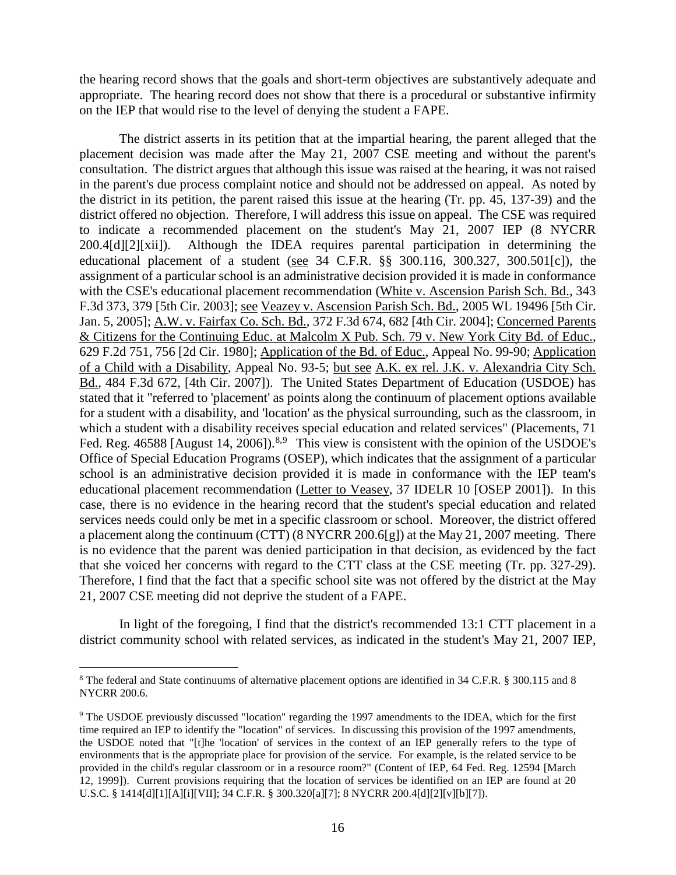the hearing record shows that the goals and short-term objectives are substantively adequate and appropriate. The hearing record does not show that there is a procedural or substantive infirmity on the IEP that would rise to the level of denying the student a FAPE.

The district asserts in its petition that at the impartial hearing, the parent alleged that the placement decision was made after the May 21, 2007 CSE meeting and without the parent's consultation. The district argues that although this issue was raised at the hearing, it was not raised in the parent's due process complaint notice and should not be addressed on appeal. As noted by the district in its petition, the parent raised this issue at the hearing (Tr. pp. 45, 137-39) and the district offered no objection. Therefore, I will address this issue on appeal. The CSE was required to indicate a recommended placement on the student's May 21, 2007 IEP (8 NYCRR 200.4[d][2][xii]). Although the IDEA requires parental participation in determining the educational placement of a student (see 34 C.F.R. §§ 300.116, 300.327, 300.501[c]), the assignment of a particular school is an administrative decision provided it is made in conformance with the CSE's educational placement recommendation (White v. Ascension Parish Sch. Bd., 343 F.3d 373, 379 [5th Cir. 2003]; see Veazey v. Ascension Parish Sch. Bd., 2005 WL 19496 [5th Cir. Jan. 5, 2005]; A.W. v. Fairfax Co. Sch. Bd., 372 F.3d 674, 682 [4th Cir. 2004]; Concerned Parents & Citizens for the Continuing Educ. at Malcolm X Pub. Sch. 79 v. New York City Bd. of Educ., 629 F.2d 751, 756 [2d Cir. 1980]; Application of the Bd. of Educ., Appeal No. 99-90; Application of a Child with a Disability, Appeal No. 93-5; but see A.K. ex rel. J.K. v. Alexandria City Sch. Bd., 484 F.3d 672, [4th Cir. 2007]). The United States Department of Education (USDOE) has stated that it "referred to 'placement' as points along the continuum of placement options available for a student with a disability, and 'location' as the physical surrounding, such as the classroom, in which a student with a disability receives special education and related services" (Placements, 71 Fed. Reg. 46588 [August 14, 2006]).<sup>8,9</sup> This view is consistent with the opinion of the USDOE's Office of Special Education Programs (OSEP), which indicates that the assignment of a particular school is an administrative decision provided it is made in conformance with the IEP team's educational placement recommendation (Letter to Veasey, 37 IDELR 10 [OSEP 2001]). In this case, there is no evidence in the hearing record that the student's special education and related services needs could only be met in a specific classroom or school. Moreover, the district offered a placement along the continuum (CTT) (8 NYCRR 200.6[g]) at the May 21, 2007 meeting. There is no evidence that the parent was denied participation in that decision, as evidenced by the fact that she voiced her concerns with regard to the CTT class at the CSE meeting (Tr. pp. 327-29). Therefore, I find that the fact that a specific school site was not offered by the district at the May 21, 2007 CSE meeting did not deprive the student of a FAPE.

In light of the foregoing, I find that the district's recommended 13:1 CTT placement in a district community school with related services, as indicated in the student's May 21, 2007 IEP,

 <sup>8</sup> The federal and State continuums of alternative placement options are identified in 34 C.F.R. § 300.115 and 8 NYCRR 200.6.

<sup>&</sup>lt;sup>9</sup> The USDOE previously discussed "location" regarding the 1997 amendments to the IDEA, which for the first time required an IEP to identify the "location" of services. In discussing this provision of the 1997 amendments, the USDOE noted that "[t]he 'location' of services in the context of an IEP generally refers to the type of environments that is the appropriate place for provision of the service. For example, is the related service to be provided in the child's regular classroom or in a resource room?" (Content of IEP, 64 Fed. Reg. 12594 [March 12, 1999]). Current provisions requiring that the location of services be identified on an IEP are found at 20 U.S.C. § 1414[d][1][A][i][VII]; 34 C.F.R. § 300.320[a][7]; 8 NYCRR 200.4[d][2][v][b][7]).